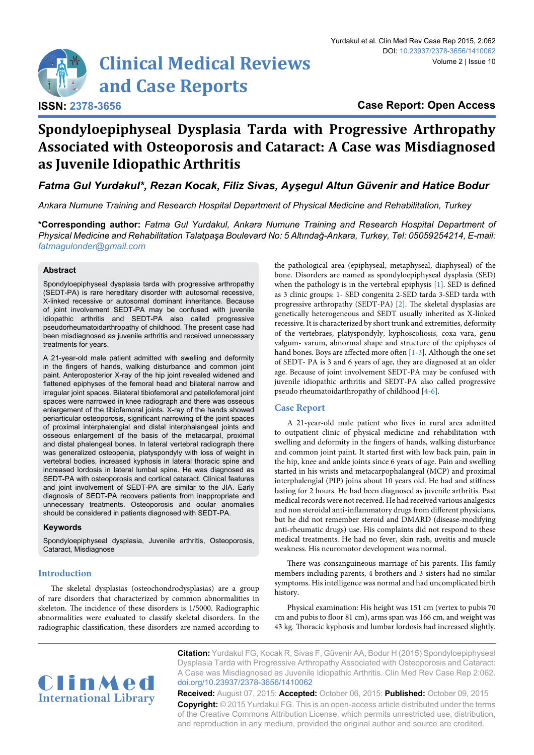

# **Case Report: Open Access**

# **Spondyloepiphyseal Dysplasia Tarda with Progressive Arthropathy Associated with Osteoporosis and Cataract: A Case was Misdiagnosed as Juvenile Idiopathic Arthritis**

*Fatma Gul Yurdakul\*, Rezan Kocak, Filiz Sivas, Ayşegul Altun Güvenir and Hatice Bodur* 

*Ankara Numune Training and Research Hospital Department of Physical Medicine and Rehabilitation, Turkey*

**\*Corresponding author:** *Fatma Gul Yurdakul, Ankara Numune Training and Research Hospital Department of Physical Medicine and Rehabilitation Talatpaşa Boulevard No: 5 Altındağ-Ankara, Turkey, Tel: 05059254214, E-mail: fatmagulonder@gmail.com*

## **Abstract**

Spondyloepiphyseal dysplasia tarda with progressive arthropathy (SEDT-PA) is rare hereditary disorder with autosomal recessive, X-linked recessive or autosomal dominant inheritance. Because of joint involvement SEDT-PA may be confused with juvenile idiopathic arthritis and SEDT-PA also called progressive pseudorheumatoidarthropathy of childhood. The present case had been misdiagnosed as juvenile arthritis and received unnecessary treatments for years.

A 21-year-old male patient admitted with swelling and deformity in the fingers of hands, walking disturbance and common joint paint. Anteroposterior X-ray of the hip joint revealed widened and flattened epiphyses of the femoral head and bilateral narrow and irregular joint spaces. Bilateral tibiofemoral and patellofemoral joint spaces were narrowed in knee radiograph and there was osseous enlargement of the tibiofemoral joints. X-ray of the hands showed periarticular osteoporosis, significant narrowing of the joint spaces of proximal interphalengial and distal interphalangeal joints and osseous enlargement of the basis of the metacarpal, proximal and distal phalengeal bones. In lateral vertebral radiograph there was generalized osteopenia, platyspondyly with loss of weight in vertebral bodies, increased kyphosis in lateral thoracic spine and increased lordosis in lateral lumbal spine. He was diagnosed as SEDT-PA with osteoporosis and cortical cataract. Clinical features and joint involvement of SEDT-PA are similar to the JIA. Early diagnosis of SEDT-PA recovers patients from inappropriate and unnecessary treatments. Osteoporosis and ocular anomalies should be considered in patients diagnosed with SEDT-PA.

#### **Keywords**

Spondyloepiphyseal dysplasia, Juvenile arthritis, Osteoporosis, Cataract, Misdiagnose

# **Introduction**

The skeletal dysplasias (osteochondrodysplasias) are a group of rare disorders that characterized by common abnormalities in skeleton. The incidence of these disorders is 1/5000. Radiographic abnormalities were evaluated to classify skeletal disorders. In the radiographic classification, these disorders are named according to the pathological area (epiphyseal, metaphyseal, diaphyseal) of the bone. Disorders are named as spondyloepiphyseal dysplasia (SED) when the pathology is in the vertebral epiphysis [[1](#page-3-0)]. SED is defined as 3 clinic groups: 1- SED congenita 2-SED tarda 3-SED tarda with progressive arthropathy (SEDT-PA) [\[2\]](#page-3-1). The skeletal dysplasias are genetically heterogeneous and SEDT usually inherited as X-linked recessive. It is characterized by short trunk and extremities, deformity of the vertebraes, platyspondyly, kyphoscoliosis, coxa vara, genu valgum- varum, abnormal shape and structure of the epiphyses of hand bones. Boys are affected more often [[1](#page-3-0)[-3\]](#page-3-2). Although the one set of SEDT- PA is 3 and 6 years of age, they are diagnosed at an older age. Because of joint involvement SEDT-PA may be confused with juvenile idiopathic arthritis and SEDT-PA also called progressive pseudo rheumatoidarthropathy of childhood [\[4](#page-3-3)-[6\]](#page-3-4).

## **Case Report**

A 21-year-old male patient who lives in rural area admitted to outpatient clinic of physical medicine and rehabilitation with swelling and deformity in the fingers of hands, walking disturbance and common joint paint. It started first with low back pain, pain in the hip, knee and ankle joints since 6 years of age. Pain and swelling started in his wrists and metacarpophalangeal (MCP) and proximal interphalengial (PIP) joins about 10 years old. He had and stiffness lasting for 2 hours. He had been diagnosed as juvenile arthritis. Past medical records were not received. He had received various analgesics and non steroidal anti-inflammatory drugs from different physicians, but he did not remember steroid and DMARD (disease-modifying anti-rheumatic drugs) use. His complaints did not respond to these medical treatments. He had no fever, skin rash, uveitis and muscle weakness. His neuromotor development was normal.

There was consanguineous marriage of his parents. His family members including parents, 4 brothers and 3 sisters had no similar symptoms. His intelligence was normal and had uncomplicated birth history.

Physical examination: His height was 151 cm (vertex to pubis 70 cm and pubis to floor 81 cm), arms span was 166 cm, and weight was 43 kg. Thoracic kyphosis and lumbar lordosis had increased slightly.



**Citation:** Yurdakul FG, Kocak R, Sivas F, Güvenir AA, Bodur H (2015) Spondyloepiphyseal Dysplasia Tarda with Progressive Arthropathy Associated with Osteoporosis and Cataract: A Case was Misdiagnosed as Juvenile Idiopathic Arthritis. Clin Med Rev Case Rep 2:062. [doi.org/10.23937/2378-3656/1410062](https://doi.org/10.23937/2378-3656/1410062)

**Received:** August 07, 2015: **Accepted:** October 06, 2015: **Published:** October 09, 2015 **Copyright:** © 2015 Yurdakul FG. This is an open-access article distributed under the terms of the Creative Commons Attribution License, which permits unrestricted use, distribution, and reproduction in any medium, provided the original author and source are credited.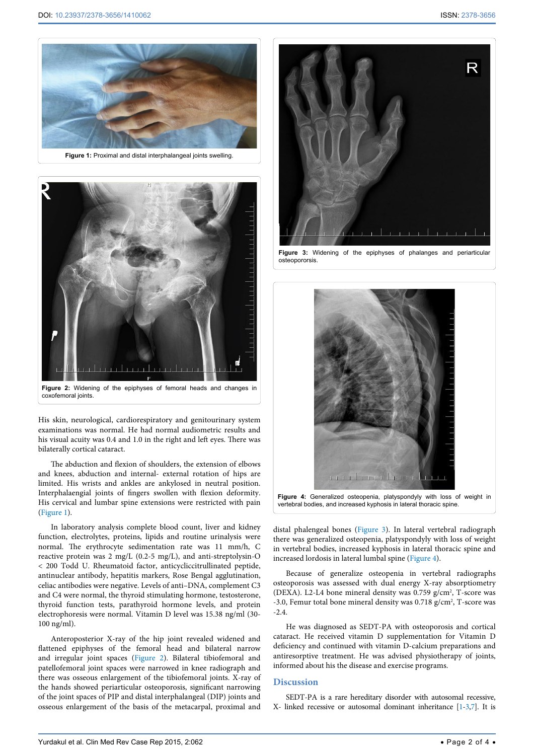<span id="page-1-2"></span>

<span id="page-1-3"></span>

coxofemoral joints.

His skin, neurological, cardiorespiratory and genitourinary system examinations was normal. He had normal audiometric results and his visual acuity was 0.4 and 1.0 in the right and left eyes. There was bilaterally cortical cataract.

The abduction and flexion of shoulders, the extension of elbows and knees, abduction and internal- external rotation of hips are limited. His wrists and ankles are ankylosed in neutral position. Interphalaengial joints of fingers swollen with flexion deformity. His cervical and lumbar spine extensions were restricted with pain ([Figure 1](#page-1-2)).

In laboratory analysis complete blood count, liver and kidney function, electrolytes, proteins, lipids and routine urinalysis were normal. The erythrocyte sedimentation rate was 11 mm/h, C reactive protein was 2 mg/L (0.2-5 mg/L), and anti-streptolysin-O < 200 Todd U. Rheumatoid factor, anticycliccitrullinated peptide, antinuclear antibody, hepatitis markers, Rose Bengal agglutination, celiac antibodies were negative. Levels of anti–DNA, complement C3 and C4 were normal, the thyroid stimulating hormone, testosterone, thyroid function tests, parathyroid hormone levels, and protein electrophoresis were normal. Vitamin D level was 15.38 ng/ml (30- 100 ng/ml).

Anteroposterior X-ray of the hip joint revealed widened and flattened epiphyses of the femoral head and bilateral narrow and irregular joint spaces ([Figure 2](#page-1-3)). Bilateral tibiofemoral and patellofemoral joint spaces were narrowed in knee radiograph and there was osseous enlargement of the tibiofemoral joints. X-ray of the hands showed periarticular osteoporosis, significant narrowing of the joint spaces of PIP and distal interphalangeal (DIP) joints and osseous enlargement of the basis of the metacarpal, proximal and

<span id="page-1-0"></span>

**Figure 3:** Widening of the epiphyses of phalanges and periarticular osteopororsis.



vertebral bodies, and increased kyphosis in lateral thoracic spine.

distal phalengeal bones ([Figure 3](#page-1-0)). In lateral vertebral radiograph there was generalized osteopenia, platyspondyly with loss of weight in vertebral bodies, increased kyphosis in lateral thoracic spine and increased lordosis in lateral lumbal spine ([Figure 4\)](#page-1-1).

Because of generalize osteopenia in vertebral radiographs osteoporosis was assessed with dual energy X-ray absorptiometry (DEXA). L2-L4 bone mineral density was 0.759 g/cm<sup>2</sup>, T-score was -3.0, Femur total bone mineral density was  $0.718$  g/cm<sup>2</sup>, T-score was -2.4.

He was diagnosed as SEDT-PA with osteoporosis and cortical cataract. He received vitamin D supplementation for Vitamin D deficiency and continued with vitamin D-calcium preparations and antiresorptive treatment. He was advised physiotherapy of joints, informed about his the disease and exercise programs.

#### **Discussion**

<span id="page-1-1"></span>Ī

SEDT-PA is a rare hereditary disorder with autosomal recessive, X- linked recessive or autosomal dominant inheritance [\[1](#page-3-0)[-3](#page-3-2)[,7](#page-3-5)]. It is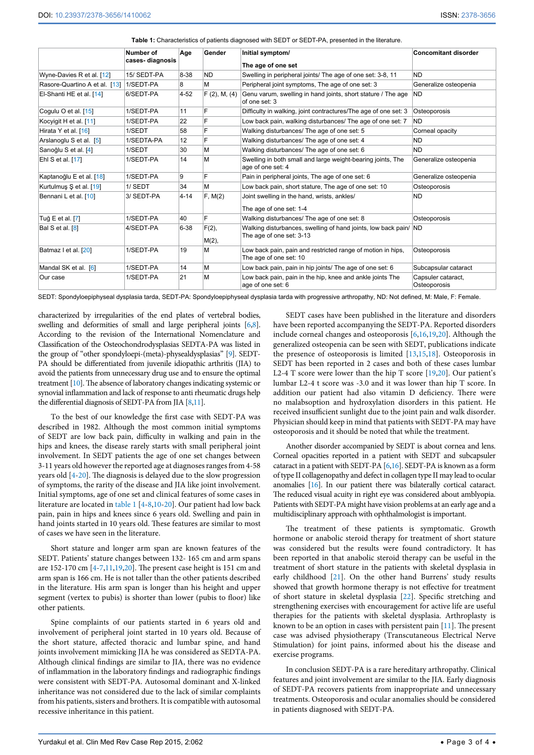|                               | Number of<br>cases-diagnosis | Age      | Gender         | Initial symptom/<br>The age of one set                                                       | <b>Concomitant disorder</b>        |
|-------------------------------|------------------------------|----------|----------------|----------------------------------------------------------------------------------------------|------------------------------------|
| Wyne-Davies R et al. [12]     | 15/ SEDT-PA                  | 8-38     | <b>ND</b>      | Swelling in peripheral joints/ The age of one set: 3-8, 11                                   | <b>ND</b>                          |
| Rasore-Quartino A et al. [13] | 1/SEDT-PA                    | 8        | M              | Peripheral joint symptoms. The age of one set: 3                                             | Generalize osteopenia              |
| El-Shanti HE et al. [14]      | 6/SEDT-PA                    | $4 - 52$ | F(2), M, (4)   | Genu varum, swelling in hand joints, short stature / The age<br>of one set: 3                | <b>ND</b>                          |
| Coquiu O et al. [15]          | 1/SEDT-PA                    | 11       | F              | Difficulty in walking, joint contractures/The age of one set: 3                              | Osteoporosis                       |
| Kocyigit H et al. [11]        | 1/SEDT-PA                    | 22       |                | Low back pain, walking disturbances/ The age of one set: 7                                   | <b>ND</b>                          |
| Hirata Y et al. [16]          | 1/SEDT                       | 58       | F              | Walking disturbances/ The age of one set: 5                                                  | Corneal opacity                    |
| Arslanoglu S et al. [5]       | 1/SEDTA-PA                   | 12       | F              | Walking disturbances/ The age of one set: 4                                                  | <b>ND</b>                          |
| Sarioğlu S et al. [4]         | 1/SEDT                       | 30       | M              | Walking disturbances/ The age of one set: 6                                                  | <b>ND</b>                          |
| Ehl S et al. [17]             | 1/SEDT-PA                    | 14       | M              | Swelling in both small and large weight-bearing joints, The<br>age of one set: 4             | Generalize osteopenia              |
| Kaptanoğlu E et al. [18]      | 1/SEDT-PA                    | 9        | F              | Pain in peripheral joints, The age of one set: 6                                             | Generalize osteopenia              |
| Kurtulmuş Ş et al. [19]       | 1/SEDT                       | 34       | М              | Low back pain, short stature, The age of one set: 10                                         | Osteoporosis                       |
| Bennani L et al. [10]         | 3/ SEDT-PA                   | $4 - 14$ | F, M(2)        | Joint swelling in the hand, wrists, ankles/<br>The age of one set: 1-4                       | <b>ND</b>                          |
| Tuğ E et al. [7]              | 1/SEDT-PA                    | 40       | Ė              | Walking disturbances/ The age of one set: 8                                                  | Osteoporosis                       |
| Bal S et al. [8]              | 4/SEDT-PA                    | $6 - 38$ | F(2),<br>M(2), | Walking disturbances, swelling of hand joints, low back pain/ ND<br>The age of one set: 3-13 |                                    |
| Batmaz I et al. [20]          | 1/SEDT-PA                    | 19       | M              | Low back pain, pain and restricted range of motion in hips,<br>The age of one set: 10        | Osteoporosis                       |
| Mandal SK et al. [6]          | 1/SEDT-PA                    | 14       | M              | Low back pain, pain in hip joints/ The age of one set: 6                                     | Subcapsular cataract               |
| Our case                      | 1/SEDT-PA                    | 21       | M              | Low back pain, pain in the hip, knee and ankle joints The<br>age of one set: 6               | Capsuler cataract.<br>Osteoporosis |

<span id="page-2-0"></span>**Table 1:** Characteristics of patients diagnosed with SEDT or SEDT-PA, presented in the literature.

SEDT: Spondyloepiphyseal dysplasia tarda, SEDT-PA: Spondyloepiphyseal dysplasia tarda with progressive arthropathy, ND: Not defined, M: Male, F: Female.

characterized by irregularities of the end plates of vertebral bodies, swelling and deformities of small and large peripheral joints [\[6](#page-3-4)[,8\]](#page-3-6). According to the revision of the International Nomenclature and Classification of the Osteochondrodysplasias SEDTA-PA was listed in the group of "other spondyloepi-(meta)-physealdysplasias" [[9\]](#page-3-7). SEDT-PA should be differentiated from juvenile idiopathic arthritis (JIA) to avoid the patients from unnecessary drug use and to ensure the optimal treatment [\[10](#page-3-8)]. The absence of laboratory changes indicating systemic or synovial inflammation and lack of response to anti rheumatic drugs help the differential diagnosis of SEDT-PA from JIA [[8,](#page-3-6)[11](#page-3-9)].

To the best of our knowledge the first case with SEDT-PA was described in 1982. Although the most common initial symptoms of SEDT are low back pain, difficulty in walking and pain in the hips and knees, the disease rarely starts with small peripheral joint involvement. In SEDT patients the age of one set changes between 3-11 years old however the reported age at diagnoses ranges from 4-58 years old [[4](#page-3-3)[-20\]](#page-3-10). The diagnosis is delayed due to the slow progression of symptoms, the rarity of the disease and JIA like joint involvement. Initial symptoms, age of one set and clinical features of some cases in literature are located in [table 1](#page-2-0) [\[4-](#page-3-3)[8](#page-3-6)[,10-](#page-3-8)[20\]](#page-3-10). Our patient had low back pain, pain in hips and knees since 6 years old. Swelling and pain in hand joints started in 10 years old. These features are similar to most of cases we have seen in the literature.

Short stature and longer arm span are known features of the SEDT. Patients' stature changes between 132- 165 cm and arm spans are 152-170 cm [\[4-](#page-3-3)[7](#page-3-5)[,11,](#page-3-9)[19,](#page-3-11)[20](#page-3-10)]. The present case height is 151 cm and arm span is 166 cm. He is not taller than the other patients described in the literature. His arm span is longer than his height and upper segment (vertex to pubis) is shorter than lower (pubis to floor) like other patients.

Spine complaints of our patients started in 6 years old and involvement of peripheral joint started in 10 years old. Because of the short stature, affected thoracic and lumbar spine, and hand joints involvement mimicking JIA he was considered as SEDTA-PA. Although clinical findings are similar to JIA, there was no evidence of inflammation in the laboratory findings and radiographic findings were consistent with SEDT-PA. Autosomal dominant and X-linked inheritance was not considered due to the lack of similar complaints from his patients, sisters and brothers. It is compatible with autosomal recessive inheritance in this patient.

SEDT cases have been published in the literature and disorders have been reported accompanying the SEDT-PA. Reported disorders include corneal changes and osteoporosis [[6](#page-3-4)[,16,](#page-3-12)[19](#page-3-11)[,20](#page-3-10)]. Although the generalized osteopenia can be seen with SEDT, publications indicate the presence of osteoporosis is limited [[13](#page-3-13),[15](#page-3-14)[,18\]](#page-3-15). Osteoporosis in SEDT has been reported in 2 cases and both of these cases lumbar L2-4 T score were lower than the hip T score [\[19](#page-3-11)[,20\]](#page-3-10). Our patient's lumbar L2-4 t score was -3.0 and it was lower than hip T score. In addition our patient had also vitamin D deficiency. There were no malabsoption and hydroxylation disorders in this patient. He received insufficient sunlight due to the joint pain and walk disorder. Physician should keep in mind that patients with SEDT-PA may have osteoporosis and it should be noted that while the treatment.

Another disorder accompanied by SEDT is about cornea and lens. Corneal opacities reported in a patient with SEDT and subcapsuler cataract in a patient with SEDT-PA  $[6,16]$  $[6,16]$ . SEDT-PA is known as a form of type II collagenopathy and defect in collagen type II may lead to ocular anomalies [\[16\]](#page-3-12). In our patient there was bilaterally cortical cataract. The reduced visual acuity in right eye was considered about amblyopia. Patients with SEDT-PA might have vision problems at an early age and a multidisciplinary approach with ophthalmologist is important.

The treatment of these patients is symptomatic. Growth hormone or anabolic steroid therapy for treatment of short stature was considered but the results were found contradictory. It has been reported in that anabolic steroid therapy can be useful in the treatment of short stature in the patients with skeletal dysplasia in early childhood [\[21](#page-3-16)]. On the other hand Burrens' study results showed that growth hormone therapy is not effective for treatment of short stature in skeletal dysplasia [\[22](#page-3-17)]. Specific stretching and strengthening exercises with encouragement for active life are useful therapies for the patients with skeletal dysplasia. Arthroplasty is known to be an option in cases with persistent pain [[11](#page-3-9)]. The present case was advised physiotherapy (Transcutaneous Electrical Nerve Stimulation) for joint pains, informed about his the disease and exercise programs.

In conclusion SEDT-PA is a rare hereditary arthropathy. Clinical features and joint involvement are similar to the JIA. Early diagnosis of SEDT-PA recovers patients from inappropriate and unnecessary treatments. Osteoporosis and ocular anomalies should be considered in patients diagnosed with SEDT-PA.